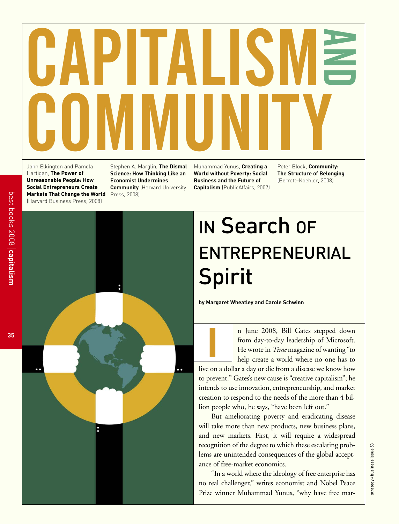# CAPITALISM AND COMMUNITY

John Elkington and Pamela Hartigan, **The Power of Unreasonable People: How Social Entrepreneurs Create Markets That Change the World** (Harvard Business Press, 2008)

Stephen A. Marglin, **The Dismal Science: How Thinking Like an Economist Undermines Community** (Harvard University Press, 2008)

Muhammad Yunus, **Creating a World without Poverty: Social Business and the Future of Capitalism** (PublicAffairs, 2007)

Peter Block, **Community: The Structure of Belonging** (Berrett–Koehler, 2008)



# IN Search OF ENTREPRENEURIAL Spirit

**by Margaret Wheatley and Carole Schwinn**

**I**

n June 2008, Bill Gates stepped down from day-to-day leadership of Microsoft. He wrote in *Time* magazine of wanting "to help create a world where no one has to

live on a dollar a day or die from a disease we know how to prevent." Gates's new cause is "creative capitalism"; he intends to use innovation, entrepreneurship, and market creation to respond to the needs of the more than 4 billion people who, he says, "have been left out."

But ameliorating poverty and eradicating disease will take more than new products, new business plans, and new markets. First, it will require a widespread recognition of the degree to which these escalating problems are unintended consequences of the global acceptance of free-market economics.

"In a world where the ideology of free enterprise has no real challenger," writes economist and Nobel Peace Prize winner Muhammad Yunus, "why have free mar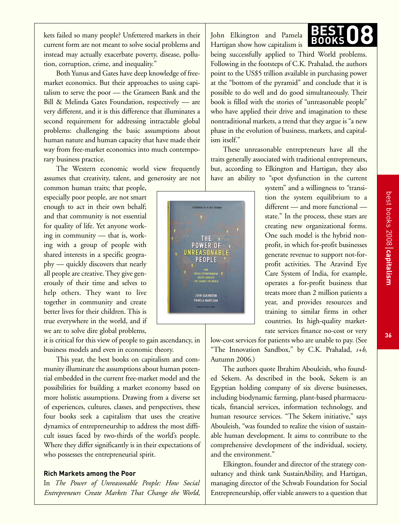kets failed so many people? Unfettered markets in their current form are not meant to solve social problems and instead may actually exacerbate poverty, disease, pollution, corruption, crime, and inequality."

Both Yunus and Gates have deep knowledge of freemarket economics. But their approaches to using capitalism to serve the poor — the Grameen Bank and the Bill & Melinda Gates Foundation, respectively — are very different, and it is this difference that illuminates a second requirement for addressing intractable global problems: challenging the basic assumptions about human nature and human capacity that have made their way from free-market economics into much contemporary business practice.

The Western economic world view frequently assumes that creativity, talent, and generosity are not

common human traits; that people, especially poor people, are not smart enough to act in their own behalf; and that community is not essential for quality of life. Yet anyone working in community — that is, working with a group of people with shared interests in a specific geography — quickly discovers that nearly all people are creative. They give generously of their time and selves to help others. They want to live together in community and create better lives for their children. This is true everywhere in the world, and if we are to solve dire global problems,

it is critical for this view of people to gain ascendancy, in business models and even in economic theory.

This year, the best books on capitalism and community illuminate the assumptions about human potential embedded in the current free-market model and the possibilities for building a market economy based on more holistic assumptions. Drawing from a diverse set of experiences, cultures, classes, and perspectives, these four books seek a capitalism that uses the creative dynamics of entrepreneurship to address the most difficult issues faced by two-thirds of the world's people. Where they differ significantly is in their expectations of who possesses the entrepreneurial spirit.

# **Rich Markets among the Poor**

In *The Power of Unreasonable People: How Social Entrepreneurs Create Markets That Change the World,* John Elkington and Pamela Hartigan show how capitalism is

being successfully applied to Third World problems. Following in the footsteps of C.K. Prahalad, the authors point to the US\$5 trillion available in purchasing power at the "bottom of the pyramid" and conclude that it is possible to do well and do good simultaneously. Their book is filled with the stories of "unreasonable people" who have applied their drive and imagination to these nontraditional markets, a trend that they argue is "a new phase in the evolution of business, markets, and capitalism itself."

These unreasonable entrepreneurs have all the traits generally associated with traditional entrepreneurs, but, according to Elkington and Hartigan, they also have an ability to "spot dysfunction in the current

> system" and a willingness to "transition the system equilibrium to a different — and more functional state." In the process, these stars are creating new organizational forms. One such model is the hybrid nonprofit, in which for-profit businesses generate revenue to support not-forprofit activities. The Aravind Eye Care System of India, for example, operates a for-profit business that treats more than 2 million patients a year, and provides resources and training to similar firms in other countries. Its high-quality marketrate services finance no-cost or very

low-cost services for patients who are unable to pay. (See "The Innovation Sandbox," by C.K. Prahalad, *s+b,* Autumn 2006.)

The authors quote Ibrahim Abouleish, who founded Sekem. As described in the book, Sekem is an Egyptian holding company of six diverse businesses, including biodynamic farming, plant-based pharmaceuticals, financial services, information technology, and human resource services. "The Sekem initiative," says Abouleish, "was founded to realize the vision of sustainable human development. It aims to contribute to the comprehensive development of the individual, society, and the environment."

Elkington, founder and director of the strategy consultancy and think tank SustainAbility, and Hartigan, managing director of the Schwab Foundation for Social Entrepreneurship, offer viable answers to a question that



**36**

**capitalism**

best books 2008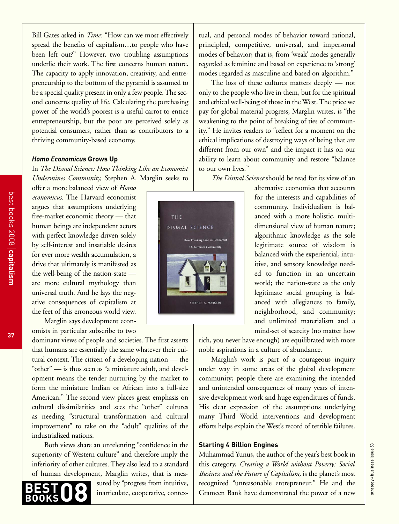Bill Gates asked in *Time*: "How can we most effectively spread the benefits of capitalism…to people who have been left out?" However, two troubling assumptions underlie their work. The first concerns human nature. The capacity to apply innovation, creativity, and entrepreneurship to the bottom of the pyramid is assumed to be a special quality present in only a few people. The second concerns quality of life. Calculating the purchasing power of the world's poorest is a useful carrot to entice entrepreneurship, but the poor are perceived solely as potential consumers, rather than as contributors to a thriving community-based economy.

### *Homo Economicus* **Grows Up**

In *The Dismal Science: How Thinking Like an Economist Undermines Community,* Stephen A. Marglin seeks to

offer a more balanced view of *Homo economicus*. The Harvard economist argues that assumptions underlying free-market economic theory — that human beings are independent actors with perfect knowledge driven solely by self-interest and insatiable desires for ever more wealth accumulation, a drive that ultimately is manifested as the well-being of the nation-state are more cultural mythology than universal truth. And he lays the negative consequences of capitalism at the feet of this erroneous world view. Marglin says development econ-

omists in particular subscribe to two

dominant views of people and societies. The first asserts that humans are essentially the same whatever their cultural context. The citizen of a developing nation — the "other" — is thus seen as "a miniature adult, and development means the tender nurturing by the market to form the miniature Indian or African into a full-size American." The second view places great emphasis on cultural dissimilarities and sees the "other" cultures as needing "structural transformation and cultural improvement" to take on the "adult" qualities of the industrialized nations.

Both views share an unrelenting "confidence in the superiority of Western culture" and therefore imply the inferiority of other cultures. They also lead to a standard of human development, Marglin writes, that is mea-

> sured by "progress from intuitive, inarticulate, cooperative, contex-

tual, and personal modes of behavior toward rational, principled, competitive, universal, and impersonal modes of behavior; that is, from 'weak' modes generally regarded as feminine and based on experience to 'strong' modes regarded as masculine and based on algorithm."

The loss of these cultures matters deeply — not only to the people who live in them, but for the spiritual and ethical well-being of those in the West. The price we pay for global material progress, Marglin writes, is "the weakening to the point of breaking of ties of community." He invites readers to "reflect for a moment on the ethical implications of destroying ways of being that are different from our own" and the impact it has on our ability to learn about community and restore "balance to our own lives."

*The Dismal Science* should be read for its view of an

alternative economics that accounts for the interests and capabilities of community. Individualism is balanced with a more holistic, multidimensional view of human nature; algorithmic knowledge as the sole legitimate source of wisdom is balanced with the experiential, intuitive, and sensory knowledge needed to function in an uncertain world; the nation-state as the only legitimate social grouping is balanced with allegiances to family, neighborhood, and community; and unlimited materialism and a mind-set of scarcity (no matter how

rich, you never have enough) are equilibrated with more noble aspirations in a culture of abundance.

Marglin's work is part of a courageous inquiry under way in some areas of the global development community; people there are examining the intended and unintended consequences of many years of intensive development work and huge expenditures of funds. His clear expression of the assumptions underlying many Third World interventions and development efforts helps explain the West's record of terrible failures.

# **Starting 4 Billion Engines**

Muhammad Yunus, the author of the year's best book in this category, *Creating a World without Poverty: Social Business and the Future of Capitalism,* is the planet's most recognized "unreasonable entrepreneur." He and the Grameen Bank have demonstrated the power of a new



**37**

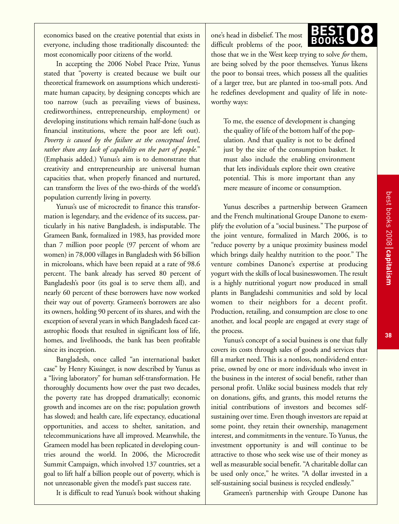economics based on the creative potential that exists in everyone, including those traditionally discounted: the most economically poor citizens of the world.

In accepting the 2006 Nobel Peace Prize, Yunus stated that "poverty is created because we built our theoretical framework on assumptions which underestimate human capacity, by designing concepts which are too narrow (such as prevailing views of business, creditworthiness, entrepreneurship, employment) or developing institutions which remain half-done (such as financial institutions, where the poor are left out). *Poverty is caused by the failure at the conceptual level, rather than any lack of capability on the part of people*." (Emphasis added.) Yunus's aim is to demonstrate that creativity and entrepreneurship are universal human capacities that, when properly financed and nurtured, can transform the lives of the two-thirds of the world's population currently living in poverty.

Yunus's use of microcredit to finance this transformation is legendary, and the evidence of its success, particularly in his native Bangladesh, is indisputable. The Grameen Bank, formalized in 1983, has provided more than 7 million poor people (97 percent of whom are women) in 78,000 villages in Bangladesh with \$6 billion in microloans, which have been repaid at a rate of 98.6 percent. The bank already has served 80 percent of Bangladesh's poor (its goal is to serve them all), and nearly 60 percent of these borrowers have now worked their way out of poverty. Grameen's borrowers are also its owners, holding 90 percent of its shares, and with the exception of several years in which Bangladesh faced catastrophic floods that resulted in significant loss of life, homes, and livelihoods, the bank has been profitable since its inception.

Bangladesh, once called "an international basket case" by Henry Kissinger, is now described by Yunus as a "living laboratory" for human self-transformation. He thoroughly documents how over the past two decades, the poverty rate has dropped dramatically; economic growth and incomes are on the rise; population growth has slowed; and health care, life expectancy, educational opportunities, and access to shelter, sanitation, and telecommunications have all improved. Meanwhile, the Grameen model has been replicated in developing countries around the world. In 2006, the Microcredit Summit Campaign, which involved 137 countries, set a goal to lift half a billion people out of poverty, which is not unreasonable given the model's past success rate.

It is difficult to read Yunus's book without shaking

one's head in disbelief. The most difficult problems of the poor,

those that we in the West keep trying to solve *for* them, are being solved by the poor themselves. Yunus likens the poor to bonsai trees, which possess all the qualities of a larger tree, but are planted in too-small pots. And he redefines development and quality of life in noteworthy ways:

**BEST**

BEST<sub>08</sub>

To me, the essence of development is changing the quality of life of the bottom half of the population. And that quality is not to be defined just by the size of the consumption basket. It must also include the enabling environment that lets individuals explore their own creative potential. This is more important than any mere measure of income or consumption.

Yunus describes a partnership between Grameen and the French multinational Groupe Danone to exemplify the evolution of a "social business." The purpose of the joint venture, formalized in March 2006, is to "reduce poverty by a unique proximity business model which brings daily healthy nutrition to the poor." The venture combines Danone's expertise at producing yogurt with the skills of local businesswomen. The result is a highly nutritional yogurt now produced in small plants in Bangladeshi communities and sold by local women to their neighbors for a decent profit. Production, retailing, and consumption are close to one another, and local people are engaged at every stage of the process.

Yunus's concept of a social business is one that fully covers its costs through sales of goods and services that fill a market need. This is a nonloss, nondividend enterprise, owned by one or more individuals who invest in the business in the interest of social benefit, rather than personal profit. Unlike social business models that rely on donations, gifts, and grants, this model returns the initial contributions of investors and becomes selfsustaining over time. Even though investors are repaid at some point, they retain their ownership, management interest, and commitments in the venture. To Yunus, the investment opportunity is and will continue to be attractive to those who seek wise use of their money as well as measurable social benefit. "A charitable dollar can be used only once," he writes. "A dollar invested in a self-sustaining social business is recycled endlessly."

Grameen's partnership with Groupe Danone has